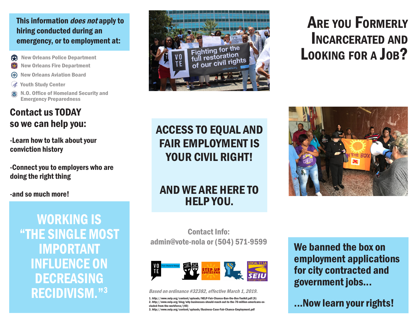#### This information *does not* apply to hiring conducted during an emergency, or to employment at:

- **A** New Orleans Police Department
- New Orleans Fire Department
- New Orleans Aviation Board
- **K** Youth Study Center
- N.O. Office of Homeland Security and Emergency Preparedness

#### Contact us TODAY so we can help you:

-Learn how to talk about your conviction history

-Connect you to employers who are doing the right thing

-and so much more!

WORKING IS "THE SINGLE MOST IMPORTANT INFLUENCE ON DECREASING RECIDIVISM."3



# Are you Formerly Incarcerated and Looking for a Job?

## ACCESS TO EQUAL AND FAIR EMPLOYMENT IS YOUR CIVIL RIGHT!

#### AND WE ARE HERE TO HELP YOU.



Contact Info: admin@vote-nola or (504) 571-9599



#### Based on ordinance #32382, effective March 1, 2019.

1. http://www.nelp.org/content/uploads/NELP-Fair-Chance-Ban-the-Box-Toolkit.pdf (9)<br>2. http://www.nelp.org/blog/why-businesses-should-reach-out-to-the-70-million-americans-ex-<br>cluded-from-the-workforce/(40) 2. http://www.nelp.org/blog/why-businesses-should-reach-out-to-the-70-million-americans-excluded-from-the-workforce/(40)

3. http://www.nelp.org/content/uploads/Business-Case-Fair-Chance-Employment.pdf

We banned the box on employment applications for city contracted and government jobs...